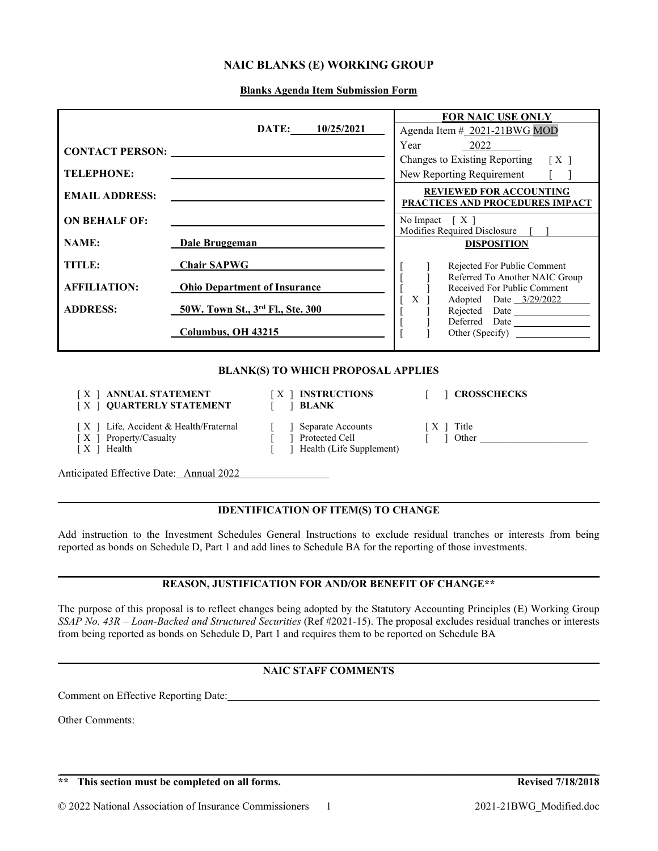### **NAIC BLANKS (E) WORKING GROUP**

**Blanks Agenda Item Submission Form**

|                        |                                           | <b>FOR NAIC USE ONLY</b>                                                                     |
|------------------------|-------------------------------------------|----------------------------------------------------------------------------------------------|
|                        | DATE:<br>10/25/2021                       | Agenda Item # 2021-21BWG MOD                                                                 |
| <b>CONTACT PERSON:</b> |                                           | 2022<br>Year                                                                                 |
|                        |                                           | Changes to Existing Reporting<br>$\lceil$ X $\rceil$                                         |
| <b>TELEPHONE:</b>      |                                           | New Reporting Requirement                                                                    |
| <b>EMAIL ADDRESS:</b>  |                                           | <b>REVIEWED FOR ACCOUNTING</b><br>PRACTICES AND PROCEDURES IMPACT                            |
| <b>ON BEHALF OF:</b>   |                                           | No Impact $\left[ X \right]$                                                                 |
|                        |                                           | Modifies Required Disclosure                                                                 |
| <b>NAME:</b>           | Dale Bruggeman                            | <b>DISPOSITION</b>                                                                           |
| TITLE:                 | <b>Chair SAPWG</b>                        | Rejected For Public Comment                                                                  |
| <b>AFFILIATION:</b>    | <b>Ohio Department of Insurance</b>       | Referred To Another NAIC Group<br>Received For Public Comment<br>X<br>Adopted Date 3/29/2022 |
| <b>ADDRESS:</b>        | 50W. Town St., 3rd Fl., Ste. 300          | Rejected Date                                                                                |
|                        | Columbus, OH 43215                        | Deferred Date<br>Other (Specify)                                                             |
|                        | <b>BLANK(S) TO WHICH PROPOSAL APPLIES</b> |                                                                                              |

### [ X ] **ANNUAL STATEMENT** [ X ] **INSTRUCTIONS** [ ] **CROSSCHECKS**

- [ X ] **QUARTERLY STATEMENT** [ ] **BLANK**
- 

- 
- 
- [ X ] Life, Accident & Health/Fraternal [ ] Separate Accounts [ X ] Title <br>[ X ] Property/Casualty [ ] Protected Cell [ ] Other
- [ X ] Property/Casualty  $\begin{bmatrix} \overline{\phantom{a}} & \overline{\phantom{a}} & \overline{\phantom{a}} & \overline{\phantom{a}} & \overline{\phantom{a}} & \overline{\phantom{a}} & \overline{\phantom{a}} & \overline{\phantom{a}} & \overline{\phantom{a}} & \overline{\phantom{a}} & \overline{\phantom{a}} & \overline{\phantom{a}} & \overline{\phantom{a}} & \overline{\phantom{a}} & \overline{\phantom{a}} & \overline{\phantom{a}} & \overline{\phantom{a}} & \overline{\phantom{a}} & \overline{\phantom{a}} & \$ [ ] Health (Life Supplement)
	-

Anticipated Effective Date: Annual 2022

### **IDENTIFICATION OF ITEM(S) TO CHANGE**

Add instruction to the Investment Schedules General Instructions to exclude residual tranches or interests from being reported as bonds on Schedule D, Part 1 and add lines to Schedule BA for the reporting of those investments.

### **REASON, JUSTIFICATION FOR AND/OR BENEFIT OF CHANGE\*\***

The purpose of this proposal is to reflect changes being adopted by the Statutory Accounting Principles (E) Working Group *SSAP No. 43R – Loan-Backed and Structured Securities* (Ref #2021-15). The proposal excludes residual tranches or interests from being reported as bonds on Schedule D, Part 1 and requires them to be reported on Schedule BA

# **NAIC STAFF COMMENTS**

Comment on Effective Reporting Date:

Other Comments:

**<sup>\*\*</sup> This section must be completed on all forms. Revised 7/18/2018**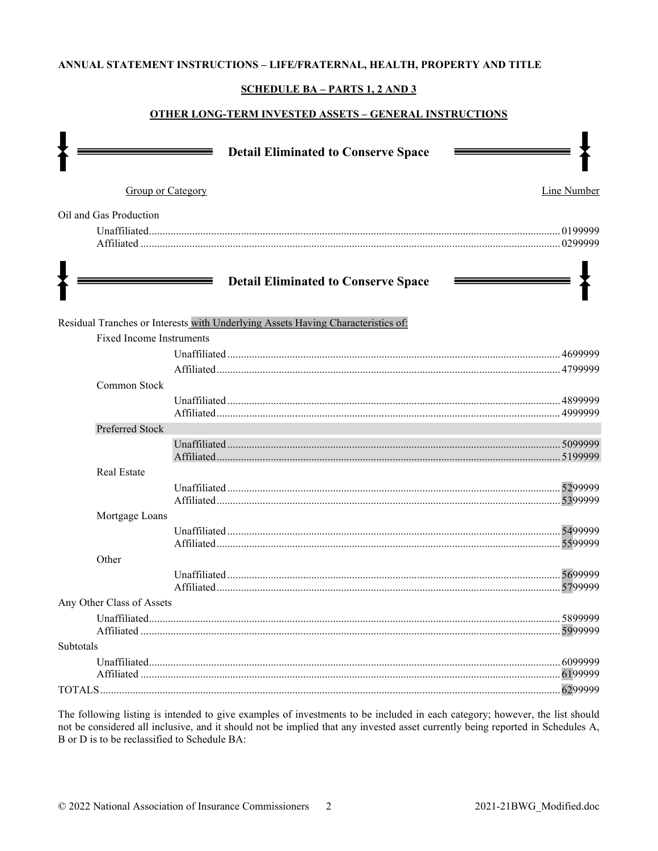### ANNUAL STATEMENT INSTRUCTIONS - LIFE/FRATERNAL, HEALTH, PROPERTY AND TITLE

### **SCHEDULE BA - PARTS 1, 2 AND 3**

### **OTHER LONG-TERM INVESTED ASSETS - GENERAL INSTRUCTIONS**

|                                 | <b>Detail Eliminated to Conserve Space</b>                                       |                     |
|---------------------------------|----------------------------------------------------------------------------------|---------------------|
| <b>Group or Category</b>        |                                                                                  | Line Number         |
| Oil and Gas Production          |                                                                                  |                     |
|                                 |                                                                                  |                     |
|                                 | <b>Detail Eliminated to Conserve Space</b>                                       |                     |
|                                 | Residual Tranches or Interests with Underlying Assets Having Characteristics of: |                     |
| <b>Fixed Income Instruments</b> |                                                                                  |                     |
|                                 |                                                                                  |                     |
| Common Stock                    |                                                                                  |                     |
|                                 |                                                                                  | .4999999            |
| Preferred Stock                 |                                                                                  |                     |
|                                 |                                                                                  |                     |
| Real Estate                     |                                                                                  |                     |
|                                 |                                                                                  |                     |
| Mortgage Loans                  |                                                                                  |                     |
|                                 |                                                                                  |                     |
| Other                           |                                                                                  |                     |
|                                 |                                                                                  |                     |
| Any Other Class of Assets       |                                                                                  |                     |
|                                 |                                                                                  | .5899999<br>5999999 |
| Subtotals                       |                                                                                  |                     |
|                                 |                                                                                  | .6099999<br>6199999 |
|                                 |                                                                                  | 6299999             |

The following listing is intended to give examples of investments to be included in each category; however, the list should not be considered all inclusive, and it should not be implied that any invested asset currently being reported in Schedules A, B or D is to be reclassified to Schedule BA: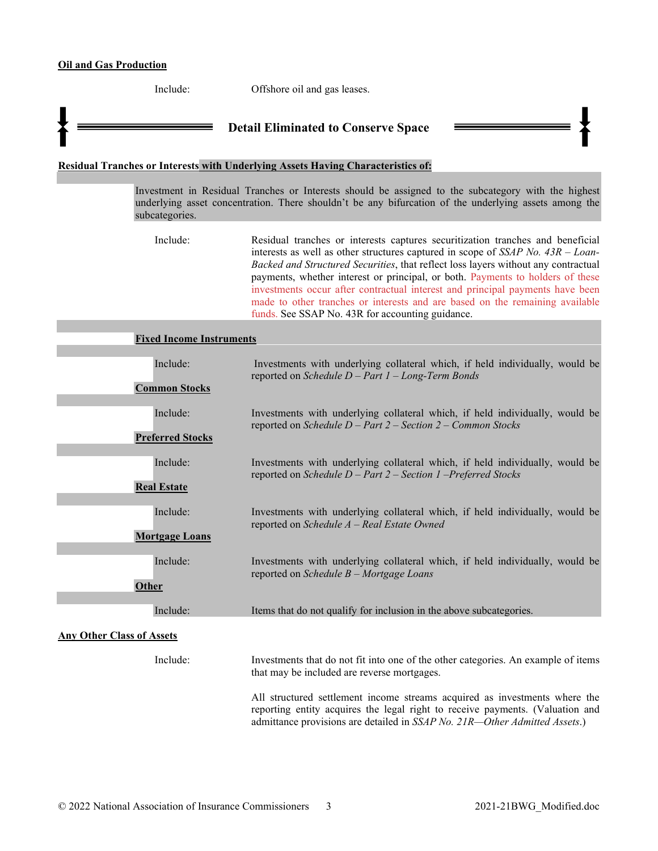# **Oil and Gas Production**

|                                  | Include:                        | Offshore oil and gas leases.                                                                                                                                                                                                                                                                                                                                                                                                                                                                                                                                       |
|----------------------------------|---------------------------------|--------------------------------------------------------------------------------------------------------------------------------------------------------------------------------------------------------------------------------------------------------------------------------------------------------------------------------------------------------------------------------------------------------------------------------------------------------------------------------------------------------------------------------------------------------------------|
|                                  |                                 | <b>Detail Eliminated to Conserve Space</b>                                                                                                                                                                                                                                                                                                                                                                                                                                                                                                                         |
|                                  |                                 | Residual Tranches or Interests with Underlying Assets Having Characteristics of:                                                                                                                                                                                                                                                                                                                                                                                                                                                                                   |
|                                  | subcategories.                  | Investment in Residual Tranches or Interests should be assigned to the subcategory with the highest<br>underlying asset concentration. There shouldn't be any bifurcation of the underlying assets among the                                                                                                                                                                                                                                                                                                                                                       |
|                                  | Include:                        | Residual tranches or interests captures securitization tranches and beneficial<br>interests as well as other structures captured in scope of $SSAP$ No. $43R$ - Loan-<br>Backed and Structured Securities, that reflect loss layers without any contractual<br>payments, whether interest or principal, or both. Payments to holders of these<br>investments occur after contractual interest and principal payments have been<br>made to other tranches or interests and are based on the remaining available<br>funds. See SSAP No. 43R for accounting guidance. |
|                                  | <b>Fixed Income Instruments</b> |                                                                                                                                                                                                                                                                                                                                                                                                                                                                                                                                                                    |
|                                  | Include:                        | Investments with underlying collateral which, if held individually, would be<br>reported on Schedule $D$ – Part 1 – Long-Term Bonds                                                                                                                                                                                                                                                                                                                                                                                                                                |
|                                  | <b>Common Stocks</b>            |                                                                                                                                                                                                                                                                                                                                                                                                                                                                                                                                                                    |
|                                  | Include:                        | Investments with underlying collateral which, if held individually, would be<br>reported on Schedule $D$ – Part 2 – Section 2 – Common Stocks                                                                                                                                                                                                                                                                                                                                                                                                                      |
|                                  | <b>Preferred Stocks</b>         |                                                                                                                                                                                                                                                                                                                                                                                                                                                                                                                                                                    |
|                                  | Include:<br><b>Real Estate</b>  | Investments with underlying collateral which, if held individually, would be<br>reported on Schedule $D$ – Part 2 – Section 1 –Preferred Stocks                                                                                                                                                                                                                                                                                                                                                                                                                    |
|                                  |                                 |                                                                                                                                                                                                                                                                                                                                                                                                                                                                                                                                                                    |
|                                  | Include:                        | Investments with underlying collateral which, if held individually, would be<br>reported on Schedule $A$ – Real Estate Owned                                                                                                                                                                                                                                                                                                                                                                                                                                       |
|                                  | <b>Mortgage Loans</b>           |                                                                                                                                                                                                                                                                                                                                                                                                                                                                                                                                                                    |
|                                  | Include:                        | Investments with underlying collateral which, if held individually, would be<br>reported on Schedule B - Mortgage Loans                                                                                                                                                                                                                                                                                                                                                                                                                                            |
| <b>Other</b>                     |                                 |                                                                                                                                                                                                                                                                                                                                                                                                                                                                                                                                                                    |
|                                  | Include:                        | Items that do not qualify for inclusion in the above subcategories.                                                                                                                                                                                                                                                                                                                                                                                                                                                                                                |
| <b>Any Other Class of Assets</b> |                                 |                                                                                                                                                                                                                                                                                                                                                                                                                                                                                                                                                                    |
|                                  | Include:                        | Investments that do not fit into one of the other categories. An example of items<br>that may be included are reverse mortgages.                                                                                                                                                                                                                                                                                                                                                                                                                                   |
|                                  |                                 | All structured settlement income streams acquired as investments where the<br>reporting entity acquires the legal right to receive payments. (Valuation and<br>admittance provisions are detailed in SSAP No. 21R-Other Admitted Assets.)                                                                                                                                                                                                                                                                                                                          |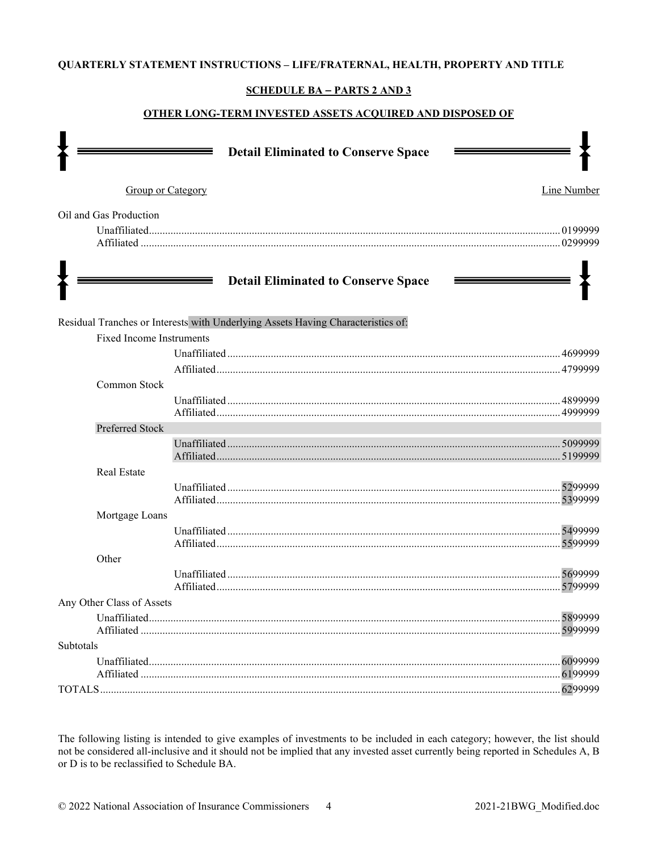### QUARTERLY STATEMENT INSTRUCTIONS - LIFE/FRATERNAL, HEALTH, PROPERTY AND TITLE

### **SCHEDULE BA - PARTS 2 AND 3**

### **OTHER LONG-TERM INVESTED ASSETS ACQUIRED AND DISPOSED OF**

|                                 | <b>Detail Eliminated to Conserve Space</b>                                       |                    |
|---------------------------------|----------------------------------------------------------------------------------|--------------------|
| <b>Group or Category</b>        |                                                                                  | <b>Line Number</b> |
| Oil and Gas Production          |                                                                                  |                    |
|                                 |                                                                                  |                    |
|                                 | __________<br><b>Detail Eliminated to Conserve Space</b>                         |                    |
|                                 | Residual Tranches or Interests with Underlying Assets Having Characteristics of: |                    |
| <b>Fixed Income Instruments</b> |                                                                                  |                    |
|                                 |                                                                                  |                    |
| Common Stock                    |                                                                                  |                    |
|                                 |                                                                                  |                    |
|                                 |                                                                                  |                    |
| Preferred Stock                 |                                                                                  |                    |
|                                 |                                                                                  |                    |
|                                 |                                                                                  |                    |
| Real Estate                     |                                                                                  |                    |
|                                 |                                                                                  |                    |
| Mortgage Loans                  |                                                                                  |                    |
|                                 |                                                                                  |                    |
|                                 |                                                                                  |                    |
| Other                           |                                                                                  |                    |
|                                 |                                                                                  | 5699999            |
|                                 |                                                                                  | 5799999            |
| Any Other Class of Assets       |                                                                                  |                    |
|                                 |                                                                                  | 5899999<br>5999999 |
| Subtotals                       |                                                                                  |                    |
|                                 |                                                                                  | 6099999            |
|                                 |                                                                                  | 6199999            |
|                                 |                                                                                  | 6299999            |

The following listing is intended to give examples of investments to be included in each category; however, the list should not be considered all-inclusive and it should not be implied that any invested asset currently being reported in Schedules A, B or D is to be reclassified to Schedule BA.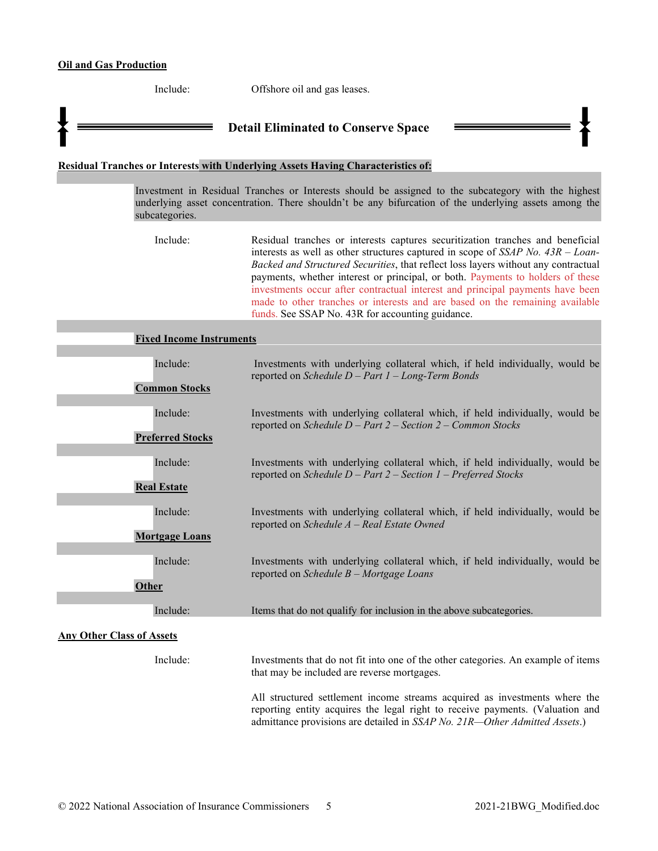# **Oil and Gas Production**

| Include:                         |                                 | Offshore oil and gas leases.                                                                                                                                                                                                                                                                                                                                                                                                                                                                                                                                       |
|----------------------------------|---------------------------------|--------------------------------------------------------------------------------------------------------------------------------------------------------------------------------------------------------------------------------------------------------------------------------------------------------------------------------------------------------------------------------------------------------------------------------------------------------------------------------------------------------------------------------------------------------------------|
|                                  |                                 | <b>Detail Eliminated to Conserve Space</b>                                                                                                                                                                                                                                                                                                                                                                                                                                                                                                                         |
|                                  |                                 | Residual Tranches or Interests with Underlying Assets Having Characteristics of:                                                                                                                                                                                                                                                                                                                                                                                                                                                                                   |
| subcategories.                   |                                 | Investment in Residual Tranches or Interests should be assigned to the subcategory with the highest<br>underlying asset concentration. There shouldn't be any bifurcation of the underlying assets among the                                                                                                                                                                                                                                                                                                                                                       |
| Include:                         |                                 | Residual tranches or interests captures securitization tranches and beneficial<br>interests as well as other structures captured in scope of $SSAP$ No. $43R$ - Loan-<br>Backed and Structured Securities, that reflect loss layers without any contractual<br>payments, whether interest or principal, or both. Payments to holders of these<br>investments occur after contractual interest and principal payments have been<br>made to other tranches or interests and are based on the remaining available<br>funds. See SSAP No. 43R for accounting guidance. |
|                                  | <b>Fixed Income Instruments</b> |                                                                                                                                                                                                                                                                                                                                                                                                                                                                                                                                                                    |
| Include:                         |                                 | Investments with underlying collateral which, if held individually, would be<br>reported on Schedule $D$ – Part 1 – Long-Term Bonds                                                                                                                                                                                                                                                                                                                                                                                                                                |
| <b>Common Stocks</b>             |                                 |                                                                                                                                                                                                                                                                                                                                                                                                                                                                                                                                                                    |
| Include:                         |                                 | Investments with underlying collateral which, if held individually, would be<br>reported on Schedule $D$ – Part 2 – Section 2 – Common Stocks                                                                                                                                                                                                                                                                                                                                                                                                                      |
| <b>Preferred Stocks</b>          |                                 |                                                                                                                                                                                                                                                                                                                                                                                                                                                                                                                                                                    |
| Include:<br><b>Real Estate</b>   |                                 | Investments with underlying collateral which, if held individually, would be<br>reported on Schedule $D$ – Part 2 – Section 1 – Preferred Stocks                                                                                                                                                                                                                                                                                                                                                                                                                   |
|                                  |                                 |                                                                                                                                                                                                                                                                                                                                                                                                                                                                                                                                                                    |
| Include:                         |                                 | Investments with underlying collateral which, if held individually, would be<br>reported on Schedule A - Real Estate Owned                                                                                                                                                                                                                                                                                                                                                                                                                                         |
| <b>Mortgage Loans</b>            |                                 |                                                                                                                                                                                                                                                                                                                                                                                                                                                                                                                                                                    |
| Include:                         |                                 | Investments with underlying collateral which, if held individually, would be<br>reported on Schedule B - Mortgage Loans                                                                                                                                                                                                                                                                                                                                                                                                                                            |
| <b>Other</b>                     |                                 |                                                                                                                                                                                                                                                                                                                                                                                                                                                                                                                                                                    |
| Include:                         |                                 | Items that do not qualify for inclusion in the above subcategories.                                                                                                                                                                                                                                                                                                                                                                                                                                                                                                |
| <b>Any Other Class of Assets</b> |                                 |                                                                                                                                                                                                                                                                                                                                                                                                                                                                                                                                                                    |
| Include:                         |                                 | Investments that do not fit into one of the other categories. An example of items<br>that may be included are reverse mortgages.                                                                                                                                                                                                                                                                                                                                                                                                                                   |
|                                  |                                 | All structured settlement income streams acquired as investments where the<br>reporting entity acquires the legal right to receive payments. (Valuation and<br>admittance provisions are detailed in SSAP No. 21R-Other Admitted Assets.)                                                                                                                                                                                                                                                                                                                          |